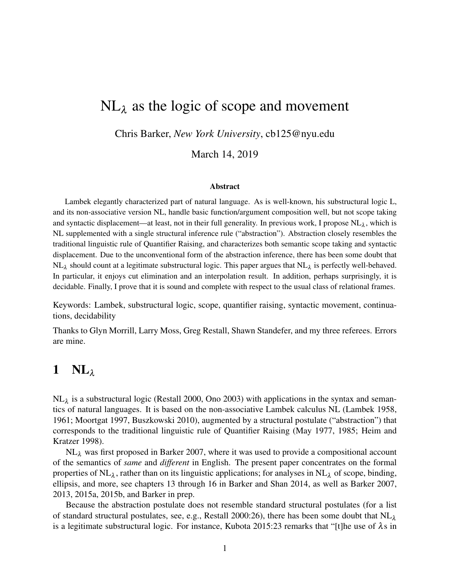# $NL<sub>\lambda</sub>$  as the logic of scope and movement

Chris Barker, *New York University*, cb125@nyu.edu

March 14, 2019

#### Abstract

Lambek elegantly characterized part of natural language. As is well-known, his substructural logic L, and its non-associative version NL, handle basic function/argument composition well, but not scope taking and syntactic displacement—at least, not in their full generality. In previous work, I propose  $NL_{\lambda}$ , which is NL supplemented with a single structural inference rule ("abstraction"). Abstraction closely resembles the traditional linguistic rule of Quantifier Raising, and characterizes both semantic scope taking and syntactic displacement. Due to the unconventional form of the abstraction inference, there has been some doubt that  $NL_{\lambda}$  should count at a legitimate substructural logic. This paper argues that  $NL_{\lambda}$  is perfectly well-behaved. In particular, it enjoys cut elimination and an interpolation result. In addition, perhaps surprisingly, it is decidable. Finally, I prove that it is sound and complete with respect to the usual class of relational frames.

Keywords: Lambek, substructural logic, scope, quantifier raising, syntactic movement, continuations, decidability

Thanks to Glyn Morrill, Larry Moss, Greg Restall, Shawn Standefer, and my three referees. Errors are mine.

## 1  $NL_{\lambda}$

 $NL_{\lambda}$  is a substructural logic (Restall 2000, Ono 2003) with applications in the syntax and semantics of natural languages. It is based on the non-associative Lambek calculus NL (Lambek 1958, 1961; Moortgat 1997, Buszkowski 2010), augmented by a structural postulate ("abstraction") that corresponds to the traditional linguistic rule of Quantifier Raising (May 1977, 1985; Heim and Kratzer 1998).

 $NL<sub>\lambda</sub>$  was first proposed in Barker 2007, where it was used to provide a compositional account of the semantics of *same* and *different* in English. The present paper concentrates on the formal properties of NL<sub> $\lambda$ </sub>, rather than on its linguistic applications; for analyses in NL<sub> $\lambda$ </sub> of scope, binding, ellipsis, and more, see chapters 13 through 16 in Barker and Shan 2014, as well as Barker 2007, 2013, 2015a, 2015b, and Barker in prep.

Because the abstraction postulate does not resemble standard structural postulates (for a list of standard structural postulates, see, e.g., Restall 2000:26), there has been some doubt that  $NL<sub>\lambda</sub>$ is a legitimate substructural logic. For instance, Kubota 2015:23 remarks that "[t]he use of  $\lambda$ s in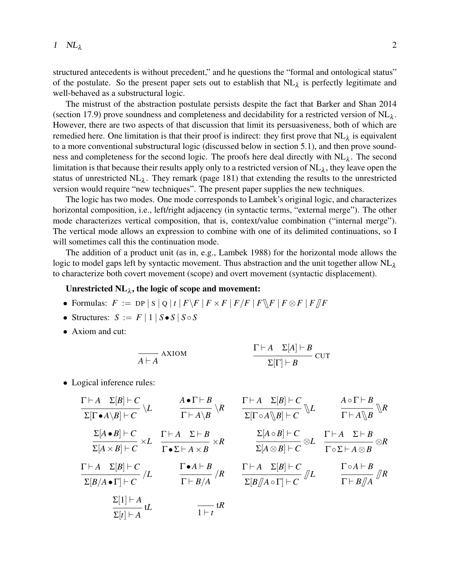structured antecedents is without precedent," and he questions the "formal and ontological status" of the postulate. So the present paper sets out to establish that  $NL_{\lambda}$  is perfectly legitimate and well-behaved as a substructural logic.

The mistrust of the abstraction postulate persists despite the fact that Barker and Shan 2014 (section 17.9) prove soundness and completeness and decidability for a restricted version of  $NL_{\lambda}$ . However, there are two aspects of that discussion that limit its persuasiveness, both of which are remedied here. One limitation is that their proof is indirect: they first prove that  $NL_{\lambda}$  is equivalent to a more conventional substructural logic (discussed below in section 5.1), and then prove soundness and completeness for the second logic. The proofs here deal directly with  $NL_{\lambda}$ . The second limitation is that because their results apply only to a restricted version of  $NL_{\lambda}$ , they leave open the status of unrestricted  $NL_{\lambda}$ . They remark (page 181) that extending the results to the unrestricted version would require "new techniques". The present paper supplies the new techniques.

The logic has two modes. One mode corresponds to Lambek's original logic, and characterizes horizontal composition, i.e., left/right adjacency (in syntactic terms, "external merge"). The other mode characterizes vertical composition, that is, context/value combination ("internal merge"). The vertical mode allows an expression to combine with one of its delimited continuations, so I will sometimes call this the continuation mode.

The addition of a product unit (as in, e.g., Lambek 1988) for the horizontal mode allows the logic to model gaps left by syntactic movement. Thus abstraction and the unit together allow  $NL<sub>\lambda</sub>$ to characterize both covert movement (scope) and overt movement (syntactic displacement).

## Unrestricted  $NL_{\lambda}$ , the logic of scope and movement:

- Formulas:  $F := \text{DP} |S| Q |t | F\ F | F \times F | F/F | F \times F | F/F | F \otimes F | F/F$
- Structures:  $S := F | 1 | S \bullet S | S \circ S$
- Axiom and cut:

$$
\frac{\Gamma \vdash A \quad \Sigma[A] \vdash B}{A \vdash A} \text{CUT}
$$

• Logical inference rules:

$$
\frac{\Gamma\vdash A \quad \Sigma[B]\vdash C}{\Sigma[\Gamma\bullet A\setminus B]\vdash C} \setminus L \qquad \frac{A\bullet\Gamma\vdash B}{\Gamma\vdash A\setminus B} \setminus R \qquad \frac{\Gamma\vdash A \quad \Sigma[B]\vdash C}{\Sigma[\Gamma\circ A\setminus B]\vdash C} \setminus L \qquad \frac{A\circ\Gamma\vdash B}{\Gamma\vdash A\setminus B} \setminus R
$$
\n
$$
\frac{\Sigma[A\bullet B]\vdash C}{\Sigma[A\times B]\vdash C} \times L \qquad \frac{\Gamma\vdash A \quad \Sigma\vdash B}{\Gamma\bullet\Sigma\vdash A\times B} \times R \qquad \frac{\Sigma[A\circ B]\vdash C}{\Sigma[A\otimes B]\vdash C} \otimes L \qquad \frac{\Gamma\vdash A \quad \Sigma\vdash B}{\Gamma\circ\Sigma\vdash A\otimes B} \otimes R
$$
\n
$$
\frac{\Gamma\vdash A \quad \Sigma[B]\vdash C}{\Sigma[B/A\circ\Gamma]\vdash C} / L \qquad \frac{\Gamma\bullet A\vdash B}{\Gamma\vdash B/A} / R \qquad \frac{\Gamma\vdash A \quad \Sigma[B]\vdash C}{\Sigma[B/A\circ\Gamma]\vdash C} / L \qquad \frac{\Gamma\circ A\vdash B}{\Gamma\vdash B/A} / R
$$
\n
$$
\frac{\Sigma[1]\vdash A}{\Sigma[t]\vdash A} tL \qquad \frac{\Gamma\vdash B}{1\vdash t} tR
$$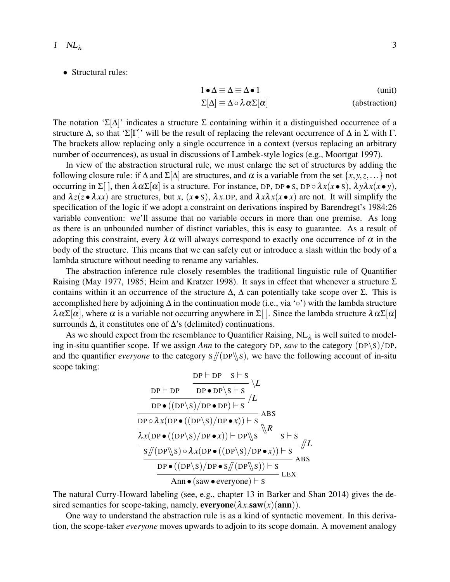• Structural rules:

$$
1 \bullet \Delta \equiv \Delta \equiv \Delta \bullet 1 \qquad \qquad (unit)
$$
  

$$
\Sigma[\Delta] \equiv \Delta \circ \lambda \alpha \Sigma[\alpha] \qquad \qquad (abstraction)
$$

The notation ' $\Sigma[\Delta]$ ' indicates a structure  $\Sigma$  containing within it a distinguished occurrence of a structure  $\Delta$ , so that 'Σ[Γ]' will be the result of replacing the relevant occurrence of  $\Delta$  in  $\Sigma$  with Γ. The brackets allow replacing only a single occurrence in a context (versus replacing an arbitrary number of occurrences), as usual in discussions of Lambek-style logics (e.g., Moortgat 1997).

In view of the abstraction structural rule, we must enlarge the set of structures by adding the following closure rule: if  $\Delta$  and  $\Sigma[\Delta]$  are structures, and  $\alpha$  is a variable from the set  $\{x, y, z, \ldots\}$  not occurring in  $\Sigma$ [], then  $\lambda \alpha \Sigma[\alpha]$  is a structure. For instance, DP, DP • S, DP  $\circ \lambda x(x \bullet s)$ ,  $\lambda y \lambda x(x \bullet y)$ , and  $\lambda z(z \cdot \lambda xx)$  are structures, but *x*,  $(x \cdot s)$ ,  $\lambda x$ .DP, and  $\lambda x \lambda x(x \cdot x)$  are not. It will simplify the specification of the logic if we adopt a constraint on derivations inspired by Barendregt's 1984:26 variable convention: we'll assume that no variable occurs in more than one premise. As long as there is an unbounded number of distinct variables, this is easy to guarantee. As a result of adopting this constraint, every  $\lambda \alpha$  will always correspond to exactly one occurrence of  $\alpha$  in the body of the structure. This means that we can safely cut or introduce a slash within the body of a lambda structure without needing to rename any variables.

The abstraction inference rule closely resembles the traditional linguistic rule of Quantifier Raising (May 1977, 1985; Heim and Kratzer 1998). It says in effect that whenever a structure Σ contains within it an occurrence of the structure  $\Delta$ ,  $\Delta$  can potentially take scope over  $\Sigma$ . This is accomplished here by adjoining ∆ in the continuation mode (i.e., via '◦') with the lambda structure  $\lambda \alpha \Sigma[\alpha]$ , where  $\alpha$  is a variable not occurring anywhere in  $\Sigma$ []. Since the lambda structure  $\lambda \alpha \Sigma[\alpha]$ surrounds Δ, it constitutes one of Δ's (delimited) continuations.

As we should expect from the resemblance to Quantifier Raising,  $NL_{\lambda}$  is well suited to modeling in-situ quantifier scope. If we assign *Ann* to the category DP, *saw* to the category (DP\S)/DP, and the quantifier *everyone* to the category  $S/(DP \S)$ , we have the following account of in-situ scope taking:  $\overline{D}$   $\overline{D}$   $\overline{D}$   $\overline{D}$   $\overline{D}$   $\overline{D}$   $\overline{D}$   $\overline{D}$   $\overline{D}$   $\overline{D}$   $\overline{D}$   $\overline{D}$   $\overline{D}$   $\overline{D}$   $\overline{D}$   $\overline{D}$   $\overline{D}$   $\overline{D}$   $\overline{D}$   $\overline{D}$   $\overline{D}$   $\overline{D}$   $\overline{D}$   $\overline{D}$   $\overline{$ 

$$
\frac{DP \vdash DP \quad S \vdash S}{DP \bullet ( (DP \setminus S) / DP \bullet DP) \vdash S} \setminus L
$$
\n
$$
\frac{DP \vdash DP \bullet ( (DP \setminus S) / DP \bullet DP) \vdash S}{DP \circ \lambda x ( DP \bullet ((DP \setminus S) / DP \bullet x)) \vdash S} \land BS
$$
\n
$$
\frac{\lambda x (DP \bullet ((DP \setminus S) / DP \bullet x)) \vdash DP \setminus S}{S / (DP \setminus S) \circ \lambda x (DP \bullet ((DP \setminus S) / DP \bullet x)) \vdash S} / L
$$
\n
$$
\frac{SP \bullet ((DP \setminus S) / DP \bullet S / (DP \setminus S)) \vdash S}{P \bullet ((DP \setminus S) / DP \bullet S / (DP \setminus S)) \vdash S} \cdot LEX
$$
\n
$$
\frac{P \bullet ( (DP \setminus S) / DP \bullet S / (DP \setminus S)) \vdash S}{A \cap \bullet ( saw \cdot everyone) \vdash S} \cdot LEX
$$

The natural Curry-Howard labeling (see, e.g., chapter 13 in Barker and Shan 2014) gives the desired semantics for scope-taking, namely,  $\mathbf{everyone}(\lambda x.\mathbf{saw}(x)(\mathbf{ann}))$ .

One way to understand the abstraction rule is as a kind of syntactic movement. In this derivation, the scope-taker *everyone* moves upwards to adjoin to its scope domain. A movement analogy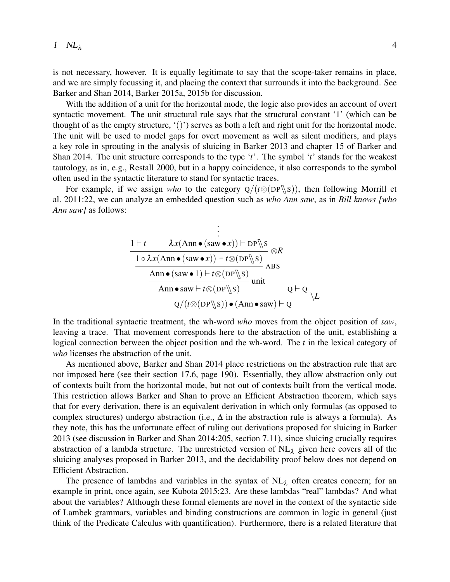is not necessary, however. It is equally legitimate to say that the scope-taker remains in place, and we are simply focussing it, and placing the context that surrounds it into the background. See Barker and Shan 2014, Barker 2015a, 2015b for discussion.

With the addition of a unit for the horizontal mode, the logic also provides an account of overt syntactic movement. The unit structural rule says that the structural constant '1' (which can be thought of as the empty structure,  $\langle \cdot | \cdot \rangle$  serves as both a left and right unit for the horizontal mode. The unit will be used to model gaps for overt movement as well as silent modifiers, and plays a key role in sprouting in the analysis of sluicing in Barker 2013 and chapter 15 of Barker and Shan 2014. The unit structure corresponds to the type '*t*'. The symbol '*t*' stands for the weakest tautology, as in, e.g., Restall 2000, but in a happy coincidence, it also corresponds to the symbol often used in the syntactic literature to stand for syntactic traces.

For example, if we assign *who* to the category  $Q/(t \otimes (DP \S))$ , then following Morrill et al. 2011:22, we can analyze an embedded question such as *who Ann saw*, as in *Bill knows [who Ann saw]* as follows:

$$
\frac{\begin{array}{l}\n\vdots \\
1 \vdash t \quad \lambda x(\text{Ann} \bullet (\text{saw} \bullet x)) \vdash \text{DP} \text{$\parallel$} s \\
\hline\n\frac{1 \circ \lambda x(\text{Ann} \bullet (\text{saw} \bullet x)) \vdash t \otimes (\text{DP} \text{$\parallel$} s)}{\text{Ann} \bullet (\text{saw} \bullet 1) \vdash t \otimes (\text{DP} \text{$\parallel$} s)} \\
\hline\n\text{Ann} \bullet \text{saw} \vdash t \otimes (\text{DP} \text{$\parallel$} s) \quad \text{unit} \\
\hline\nQ/(t \otimes (\text{DP} \text{$\parallel$} s)) \bullet (\text{Ann} \bullet \text{saw}) \vdash Q\n\end{array}\n\backslash L
$$

In the traditional syntactic treatment, the wh-word *who* moves from the object position of *saw*, leaving a trace. That movement corresponds here to the abstraction of the unit, establishing a logical connection between the object position and the wh-word. The *t* in the lexical category of *who* licenses the abstraction of the unit.

As mentioned above, Barker and Shan 2014 place restrictions on the abstraction rule that are not imposed here (see their section 17.6, page 190). Essentially, they allow abstraction only out of contexts built from the horizontal mode, but not out of contexts built from the vertical mode. This restriction allows Barker and Shan to prove an Efficient Abstraction theorem, which says that for every derivation, there is an equivalent derivation in which only formulas (as opposed to complex structures) undergo abstraction (i.e.,  $\Delta$  in the abstraction rule is always a formula). As they note, this has the unfortunate effect of ruling out derivations proposed for sluicing in Barker 2013 (see discussion in Barker and Shan 2014:205, section 7.11), since sluicing crucially requires abstraction of a lambda structure. The unrestricted version of  $NL<sub>\lambda</sub>$  given here covers all of the sluicing analyses proposed in Barker 2013, and the decidability proof below does not depend on Efficient Abstraction.

The presence of lambdas and variables in the syntax of  $NL<sub>\lambda</sub>$  often creates concern; for an example in print, once again, see Kubota 2015:23. Are these lambdas "real" lambdas? And what about the variables? Although these formal elements are novel in the context of the syntactic side of Lambek grammars, variables and binding constructions are common in logic in general (just think of the Predicate Calculus with quantification). Furthermore, there is a related literature that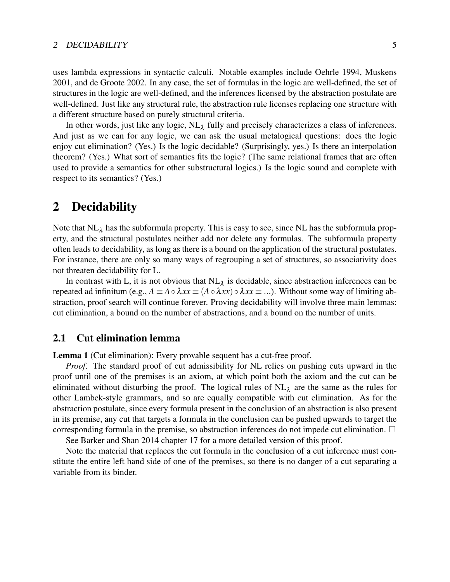uses lambda expressions in syntactic calculi. Notable examples include Oehrle 1994, Muskens 2001, and de Groote 2002. In any case, the set of formulas in the logic are well-defined, the set of structures in the logic are well-defined, and the inferences licensed by the abstraction postulate are well-defined. Just like any structural rule, the abstraction rule licenses replacing one structure with a different structure based on purely structural criteria.

In other words, just like any logic,  $NL_{\lambda}$  fully and precisely characterizes a class of inferences. And just as we can for any logic, we can ask the usual metalogical questions: does the logic enjoy cut elimination? (Yes.) Is the logic decidable? (Surprisingly, yes.) Is there an interpolation theorem? (Yes.) What sort of semantics fits the logic? (The same relational frames that are often used to provide a semantics for other substructural logics.) Is the logic sound and complete with respect to its semantics? (Yes.)

## 2 Decidability

Note that  $NL_{\lambda}$  has the subformula property. This is easy to see, since NL has the subformula property, and the structural postulates neither add nor delete any formulas. The subformula property often leads to decidability, as long as there is a bound on the application of the structural postulates. For instance, there are only so many ways of regrouping a set of structures, so associativity does not threaten decidability for L.

In contrast with L, it is not obvious that  $NL_{\lambda}$  is decidable, since abstraction inferences can be repeated ad infinitum (e.g.,  $A \equiv A \circ \lambda xx \equiv (A \circ \lambda xx) \circ \lambda xx \equiv ...$ ). Without some way of limiting abstraction, proof search will continue forever. Proving decidability will involve three main lemmas: cut elimination, a bound on the number of abstractions, and a bound on the number of units.

### 2.1 Cut elimination lemma

Lemma 1 (Cut elimination): Every provable sequent has a cut-free proof.

*Proof*. The standard proof of cut admissibility for NL relies on pushing cuts upward in the proof until one of the premises is an axiom, at which point both the axiom and the cut can be eliminated without disturbing the proof. The logical rules of  $NL<sub>\lambda</sub>$  are the same as the rules for other Lambek-style grammars, and so are equally compatible with cut elimination. As for the abstraction postulate, since every formula present in the conclusion of an abstraction is also present in its premise, any cut that targets a formula in the conclusion can be pushed upwards to target the corresponding formula in the premise, so abstraction inferences do not impede cut elimination.

See Barker and Shan 2014 chapter 17 for a more detailed version of this proof.

Note the material that replaces the cut formula in the conclusion of a cut inference must constitute the entire left hand side of one of the premises, so there is no danger of a cut separating a variable from its binder.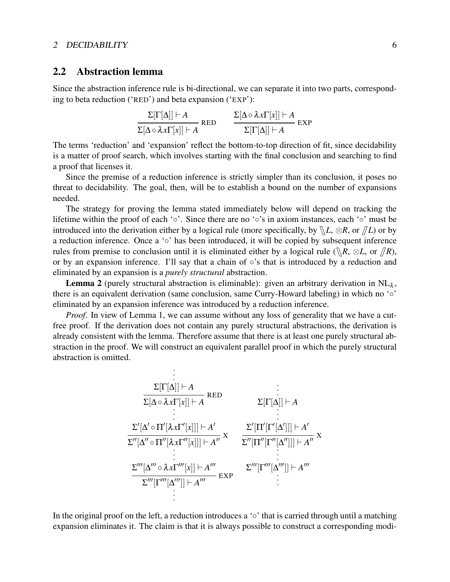## 2.2 Abstraction lemma

Since the abstraction inference rule is bi-directional, we can separate it into two parts, corresponding to beta reduction ('RED') and beta expansion ('EXP'):

$$
\frac{\Sigma[\Gamma[\Delta]] \vdash A}{\Sigma[\Delta \circ \lambda x \Gamma[x]] \vdash A} \quad \text{RED} \quad \frac{\Sigma[\Delta \circ \lambda x \Gamma[x]] \vdash A}{\Sigma[\Gamma[\Delta]] \vdash A} \quad \text{EXP}
$$

The terms 'reduction' and 'expansion' reflect the bottom-to-top direction of fit, since decidability is a matter of proof search, which involves starting with the final conclusion and searching to find a proof that licenses it.

Since the premise of a reduction inference is strictly simpler than its conclusion, it poses no threat to decidability. The goal, then, will be to establish a bound on the number of expansions needed.

The strategy for proving the lemma stated immediately below will depend on tracking the lifetime within the proof of each '◦'. Since there are no '◦'s in axiom instances, each '◦' must be introduced into the derivation either by a logical rule (more specifically, by  $\mathbb{R}L$ ,  $\otimes R$ , or  $\mathbb{Z}L$ ) or by a reduction inference. Once a '◦' has been introduced, it will be copied by subsequent inference rules from premise to conclusion until it is eliminated either by a logical rule ( $\mathbb{R}, \otimes L$ , or  $\mathbb{R}$ ), or by an expansion inference. I'll say that a chain of ◦'s that is introduced by a reduction and eliminated by an expansion is a *purely structural* abstraction.

**Lemma 2** (purely structural abstraction is eliminable): given an arbitrary derivation in  $NL_{\lambda}$ , there is an equivalent derivation (same conclusion, same Curry-Howard labeling) in which no '◦' eliminated by an expansion inference was introduced by a reduction inference.

*Proof*. In view of Lemma 1, we can assume without any loss of generality that we have a cutfree proof. If the derivation does not contain any purely structural abstractions, the derivation is already consistent with the lemma. Therefore assume that there is at least one purely structural abstraction in the proof. We will construct an equivalent parallel proof in which the purely structural abstraction is omitted.

$$
\begin{array}{cccc}\n&\vdots\\ \n&\sum[\Gamma[\Delta]] \vdash A & & \vdots\\ \n&\sum[\Delta \circ \lambda x \Gamma[x]] \vdash A & & \sum[\Gamma[\Delta]] \vdash A & & \vdots\\ \n&\sum'[\Delta' \circ \Pi'[\lambda x \Gamma'[x]]] \vdash A' & & \sum'[\Pi'[\Gamma'[\Delta']]] \vdash A'\\ \n&\sum''[\Delta'' \circ \Pi''[\lambda x \Gamma''[x]]] \vdash A'' & & \sum''[\Pi''[\Gamma''[\Delta'']]] \vdash A'' & & \vdots\\ \n&\sum'''[\Delta''' \circ \lambda x \Gamma'''[x]] \vdash A'''' & & \sum'''[\Gamma'''[\Delta''']] \vdash A'''\n& & \vdots\\ \n&\vdots\n\end{array}
$$

In the original proof on the left, a reduction introduces a '◦' that is carried through until a matching expansion eliminates it. The claim is that it is always possible to construct a corresponding modi-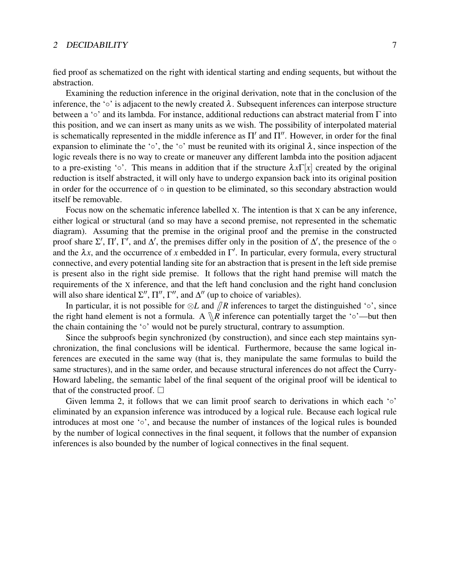fied proof as schematized on the right with identical starting and ending sequents, but without the abstraction.

Examining the reduction inference in the original derivation, note that in the conclusion of the inference, the '∘' is adjacent to the newly created  $\lambda$ . Subsequent inferences can interpose structure between a '◦' and its lambda. For instance, additional reductions can abstract material from Γ into this position, and we can insert as many units as we wish. The possibility of interpolated material is schematically represented in the middle inference as  $\Pi'$  and  $\Pi''$ . However, in order for the final expansion to eliminate the '∘', the '∘' must be reunited with its original  $\lambda$ , since inspection of the logic reveals there is no way to create or maneuver any different lambda into the position adjacent to a pre-existing ' $\circ$ '. This means in addition that if the structure  $\lambda x \Gamma[x]$  created by the original reduction is itself abstracted, it will only have to undergo expansion back into its original position in order for the occurrence of  $\circ$  in question to be eliminated, so this secondary abstraction would itself be removable.

Focus now on the schematic inference labelled X. The intention is that X can be any inference, either logical or structural (and so may have a second premise, not represented in the schematic diagram). Assuming that the premise in the original proof and the premise in the constructed proof share  $\Sigma'$ ,  $\Pi'$ ,  $\Gamma'$ , and  $\Delta'$ , the premises differ only in the position of  $\Delta'$ , the presence of the  $\circ$ and the  $\lambda x$ , and the occurrence of x embedded in  $\Gamma'$ . In particular, every formula, every structural connective, and every potential landing site for an abstraction that is present in the left side premise is present also in the right side premise. It follows that the right hand premise will match the requirements of the X inference, and that the left hand conclusion and the right hand conclusion will also share identical  $\Sigma''$ ,  $\Pi''$ ,  $\Gamma''$ , and  $\Delta''$  (up to choice of variables).

In particular, it is not possible for  $\otimes L$  and  $\overline{R}$  inferences to target the distinguished '◦', since the right hand element is not a formula. A  $\mathbb{R}$  inference can potentially target the ' $\circ$ '—but then the chain containing the '◦' would not be purely structural, contrary to assumption.

Since the subproofs begin synchronized (by construction), and since each step maintains synchronization, the final conclusions will be identical. Furthermore, because the same logical inferences are executed in the same way (that is, they manipulate the same formulas to build the same structures), and in the same order, and because structural inferences do not affect the Curry-Howard labeling, the semantic label of the final sequent of the original proof will be identical to that of the constructed proof.  $\Box$ 

Given lemma 2, it follows that we can limit proof search to derivations in which each  $\circ$ eliminated by an expansion inference was introduced by a logical rule. Because each logical rule introduces at most one '◦', and because the number of instances of the logical rules is bounded by the number of logical connectives in the final sequent, it follows that the number of expansion inferences is also bounded by the number of logical connectives in the final sequent.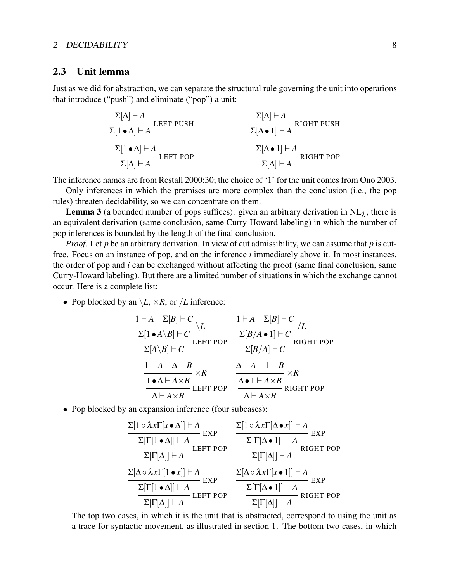### 2.3 Unit lemma

Just as we did for abstraction, we can separate the structural rule governing the unit into operations that introduce ("push") and eliminate ("pop") a unit:

$$
\frac{\Sigma[\Delta] \vdash A}{\Sigma[1 \bullet \Delta] \vdash A} \text{LEFT PUSH} \qquad \qquad \frac{\Sigma[\Delta] \vdash A}{\Sigma[\Delta \bullet 1] \vdash A} \text{ RIGHT PUSH}
$$
\n
$$
\frac{\Sigma[1 \bullet \Delta] \vdash A}{\Sigma[\Delta] \vdash A} \text{LEFT POP} \qquad \qquad \frac{\Sigma[\Delta \bullet 1] \vdash A}{\Sigma[\Delta] \vdash A} \text{RIGHT POP}
$$

The inference names are from Restall 2000:30; the choice of '1' for the unit comes from Ono 2003.

Only inferences in which the premises are more complex than the conclusion (i.e., the pop rules) threaten decidability, so we can concentrate on them.

**Lemma 3** (a bounded number of pops suffices): given an arbitrary derivation in  $NL_{\lambda}$ , there is an equivalent derivation (same conclusion, same Curry-Howard labeling) in which the number of pop inferences is bounded by the length of the final conclusion.

*Proof*. Let *p* be an arbitrary derivation. In view of cut admissibility, we can assume that *p* is cutfree. Focus on an instance of pop, and on the inference *i* immediately above it. In most instances, the order of pop and *i* can be exchanged without affecting the proof (same final conclusion, same Curry-Howard labeling). But there are a limited number of situations in which the exchange cannot occur. Here is a complete list:

• Pop blocked by an  $\setminus L$ ,  $\times R$ , or */L* inference:

$$
\frac{1\vdash A \quad \Sigma[B]\vdash C}{\Sigma[1\bullet A\setminus B]\vdash C} \setminus L \qquad \frac{1\vdash A \quad \Sigma[B]\vdash C}{\Sigma[A\setminus B]\vdash C} / L
$$
\n
$$
\frac{1\vdash A \quad \Sigma[B/A\bullet 1]\vdash C}{\Sigma[A\setminus B]\vdash C} / L
$$
\n
$$
\frac{1\vdash A \quad \Delta\vdash B}{\Sigma[A\setminus B]\vdash C} \times R \qquad \frac{\Delta\vdash A \quad 1\vdash B}{\Delta\bullet 1\vdash A\times B} \times R
$$
\n
$$
\frac{1\bullet\Delta\vdash A\times B}{\Delta\vdash A\times B} \text{LEFT POP} \qquad \frac{\Delta\bullet 1\vdash A\times B}{\Delta\vdash A\times B} \text{RIGHT POP}
$$

• Pop blocked by an expansion inference (four subcases):

$$
\frac{\Sigma[\Gamma[\mathbf{a} \wedge \mathbf{b}]] \vdash A}{\Sigma[\Gamma[\mathbf{a}] \vdash A]} \mathsf{EXP}
$$
\n
$$
\frac{\Sigma[\Gamma[\mathbf{a} \wedge \mathbf{b}]] \vdash A}{\Sigma[\Gamma[\mathbf{a}] \vdash A]} \mathsf{LEFT POP}
$$
\n
$$
\frac{\Sigma[\Gamma[\mathbf{a} \wedge \mathbf{b}]] \vdash A}{\Sigma[\Gamma[\mathbf{a}] \vdash A]} \mathsf{REFT POP}
$$
\n
$$
\frac{\Sigma[\mathbf{a} \circ \lambda \mathbf{b} \mathbf{b}] \vdash A}{\Sigma[\Gamma[\mathbf{a}] \vdash A]} \mathsf{EXP}
$$
\n
$$
\frac{\Sigma[\mathbf{a} \circ \lambda \mathbf{b} \mathbf{b}] \vdash A}{\Sigma[\Gamma[\mathbf{a}] \vdash A]} \mathsf{EXP}
$$
\n
$$
\frac{\Sigma[\mathbf{a} \circ \lambda \mathbf{b} \mathbf{b}] \vdash A}{\Sigma[\Gamma[\mathbf{a}] \vdash A]} \mathsf{EXP}
$$
\n
$$
\frac{\Sigma[\mathbf{a} \circ \lambda \mathbf{b} \mathbf{b}] \vdash A}{\Sigma[\Gamma[\mathbf{a}] \vdash A]} \mathsf{EXP}
$$
\n
$$
\frac{\Sigma[\Gamma[\mathbf{a} \bullet 1]] \vdash A}{\Sigma[\Gamma[\mathbf{a}] \vdash A]} \mathsf{RIGHT POP}
$$

The top two cases, in which it is the unit that is abstracted, correspond to using the unit as a trace for syntactic movement, as illustrated in section 1. The bottom two cases, in which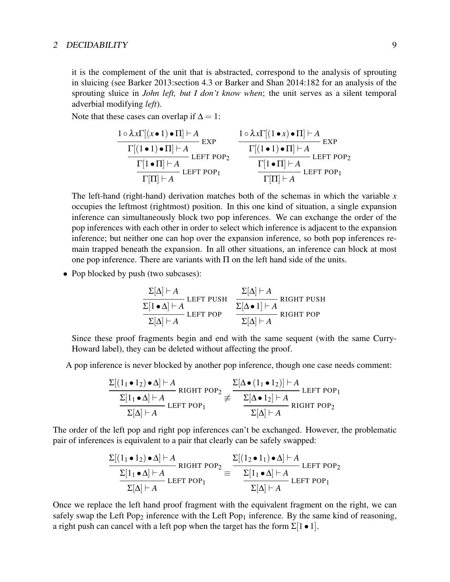it is the complement of the unit that is abstracted, correspond to the analysis of sprouting in sluicing (see Barker 2013:section 4.3 or Barker and Shan 2014:182 for an analysis of the sprouting sluice in *John left, but I don't know when*; the unit serves as a silent temporal adverbial modifying *left*).

Note that these cases can overlap if  $\Delta = 1$ :

$$
\frac{1 \circ \lambda x \Gamma[(x \bullet 1) \bullet \Pi] \vdash A}{\frac{\Gamma[(1 \bullet 1) \bullet \Pi] \vdash A}{\Gamma[\Pi] \vdash A} \text{LEFT POP}_2} \quad \frac{1 \circ \lambda x \Gamma[(1 \bullet x) \bullet \Pi] \vdash A}{\frac{\Gamma[(1 \bullet 1) \bullet \Pi] \vdash A}{\Gamma[\Pi] \vdash A} \text{LEFT POP}_2}
$$
\n
$$
\frac{\Gamma[1 \bullet \Pi] \vdash A}{\Gamma[\Pi] \vdash A} \text{LEFT POP}_1
$$

The left-hand (right-hand) derivation matches both of the schemas in which the variable *x* occupies the leftmost (rightmost) position. In this one kind of situation, a single expansion inference can simultaneously block two pop inferences. We can exchange the order of the pop inferences with each other in order to select which inference is adjacent to the expansion inference; but neither one can hop over the expansion inference, so both pop inferences remain trapped beneath the expansion. In all other situations, an inference can block at most one pop inference. There are variants with  $\Pi$  on the left hand side of the units.

• Pop blocked by push (two subcases):

$$
\frac{\Sigma[\Delta] \vdash A}{\Sigma[1 \bullet \Delta] \vdash A} \text{LEFT PUSH} \quad \frac{\Sigma[\Delta] \vdash A}{\Sigma[\Delta \bullet 1] \vdash A} \text{ RIGHT PUSH}
$$
\n
$$
\frac{\Sigma[\Delta] \vdash A}{\Sigma[\Delta] \vdash A} \text{RIGHT POP}
$$

Since these proof fragments begin and end with the same sequent (with the same Curry-Howard label), they can be deleted without affecting the proof.

A pop inference is never blocked by another pop inference, though one case needs comment:

$$
\frac{\Sigma[(1_1 \bullet 1_2) \bullet \Delta] \vdash A}{\Sigma[1_1 \bullet \Delta] \vdash A} \text{ RIGHT POP}_2 \neq \frac{\Sigma[\Delta \bullet (1_1 \bullet 1_2)] \vdash A}{\Sigma[\Delta \bullet 1_2] \vdash A} \text{ LEFT POP}_1
$$
  

$$
\frac{\Sigma[\Delta \bullet 1_2] \vdash A}{\Sigma[\Delta] \vdash A} \text{ RIGHT POP}_2
$$

The order of the left pop and right pop inferences can't be exchanged. However, the problematic pair of inferences is equivalent to a pair that clearly can be safely swapped:

$$
\frac{\Sigma[(1_1 \bullet 1_2) \bullet \Delta] \vdash A \quad \text{RIGHT POP}_2}{\frac{\Sigma[1_1 \bullet \Delta] \vdash A}{\Sigma[\Delta] \vdash A} \quad \text{LEFT POP}_1} \equiv \frac{\Sigma[(1_2 \bullet 1_1) \bullet \Delta] \vdash A \quad \text{LEFT POP}_2}{\frac{\Sigma[1_1 \bullet \Delta] \vdash A}{\Sigma[\Delta] \vdash A} \quad \text{LEFT POP}_1}
$$

Once we replace the left hand proof fragment with the equivalent fragment on the right, we can safely swap the Left Pop<sub>2</sub> inference with the Left Pop<sub>1</sub> inference. By the same kind of reasoning, a right push can cancel with a left pop when the target has the form  $\Sigma[1 \bullet 1]$ .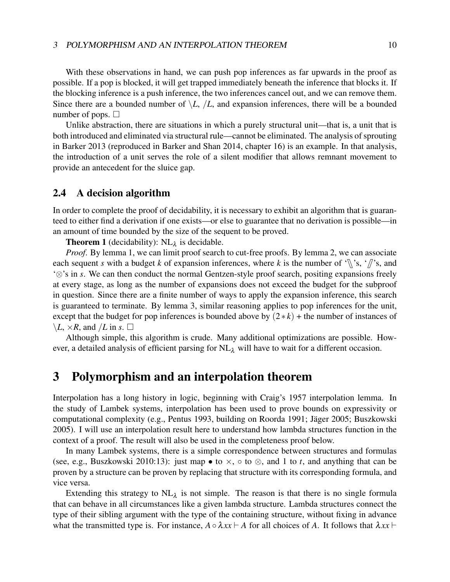#### 3 POLYMORPHISM AND AN INTERPOLATION THEOREM 10

With these observations in hand, we can push pop inferences as far upwards in the proof as possible. If a pop is blocked, it will get trapped immediately beneath the inference that blocks it. If the blocking inference is a push inference, the two inferences cancel out, and we can remove them. Since there are a bounded number of  $\setminus L$ ,  $\setminus L$ , and expansion inferences, there will be a bounded number of pops.  $\Box$ 

Unlike abstraction, there are situations in which a purely structural unit—that is, a unit that is both introduced and eliminated via structural rule—cannot be eliminated. The analysis of sprouting in Barker 2013 (reproduced in Barker and Shan 2014, chapter 16) is an example. In that analysis, the introduction of a unit serves the role of a silent modifier that allows remnant movement to provide an antecedent for the sluice gap.

### 2.4 A decision algorithm

In order to complete the proof of decidability, it is necessary to exhibit an algorithm that is guaranteed to either find a derivation if one exists—or else to guarantee that no derivation is possible—in an amount of time bounded by the size of the sequent to be proved.

**Theorem 1** (decidability):  $NL_{\lambda}$  is decidable.

*Proof*. By lemma 1, we can limit proof search to cut-free proofs. By lemma 2, we can associate each sequent *s* with a budget *k* of expansion inferences, where *k* is the number of '\\, 's, ' $\pi$ 's, and '⊗'s in *s*. We can then conduct the normal Gentzen-style proof search, positing expansions freely at every stage, as long as the number of expansions does not exceed the budget for the subproof in question. Since there are a finite number of ways to apply the expansion inference, this search is guaranteed to terminate. By lemma 3, similar reasoning applies to pop inferences for the unit, except that the budget for pop inferences is bounded above by  $(2 * k)$  + the number of instances of  $\setminus L$ ,  $\times R$ , and /*L* in *s*.  $\Box$ 

Although simple, this algorithm is crude. Many additional optimizations are possible. However, a detailed analysis of efficient parsing for  $NL<sub>\lambda</sub>$  will have to wait for a different occasion.

## 3 Polymorphism and an interpolation theorem

Interpolation has a long history in logic, beginning with Craig's 1957 interpolation lemma. In the study of Lambek systems, interpolation has been used to prove bounds on expressivity or computational complexity (e.g., Pentus 1993, building on Roorda 1991; Jager 2005; Buszkowski ¨ 2005). I will use an interpolation result here to understand how lambda structures function in the context of a proof. The result will also be used in the completeness proof below.

In many Lambek systems, there is a simple correspondence between structures and formulas (see, e.g., Buszkowski 2010:13): just map • to  $\times$ ,  $\circ$  to  $\otimes$ , and 1 to *t*, and anything that can be proven by a structure can be proven by replacing that structure with its corresponding formula, and vice versa.

Extending this strategy to  $NL<sub>\lambda</sub>$  is not simple. The reason is that there is no single formula that can behave in all circumstances like a given lambda structure. Lambda structures connect the type of their sibling argument with the type of the containing structure, without fixing in advance what the transmitted type is. For instance,  $A \circ \lambda xx \vdash A$  for all choices of *A*. It follows that  $\lambda xx \vdash$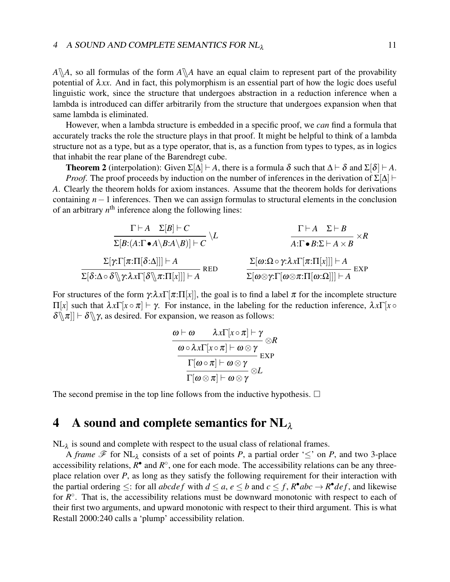$A\$ A, so all formulas of the form  $A\$ A have an equal claim to represent part of the provability potential of  $\lambda xx$ . And in fact, this polymorphism is an essential part of how the logic does useful linguistic work, since the structure that undergoes abstraction in a reduction inference when a lambda is introduced can differ arbitrarily from the structure that undergoes expansion when that same lambda is eliminated.

However, when a lambda structure is embedded in a specific proof, we *can* find a formula that accurately tracks the role the structure plays in that proof. It might be helpful to think of a lambda structure not as a type, but as a type operator, that is, as a function from types to types, as in logics that inhabit the rear plane of the Barendregt cube.

**Theorem 2** (interpolation): Given  $\Sigma[\Delta] \vdash A$ , there is a formula  $\delta$  such that  $\Delta \vdash \delta$  and  $\Sigma[\delta] \vdash A$ . *Proof.* The proof proceeds by induction on the number of inferences in the derivation of  $\Sigma[\Delta]$   $\vdash$ *A*. Clearly the theorem holds for axiom instances. Assume that the theorem holds for derivations containing *n*−1 inferences. Then we can assign formulas to structural elements in the conclusion of an arbitrary  $n^{\text{th}}$  inference along the following lines:

$$
\frac{\Gamma \vdash A \quad \Sigma[B] \vdash C \quad \qquad \frac{\Gamma \vdash A \quad \Sigma \vdash B}{\lambda : \Gamma \bullet B : \Sigma \vdash A \times B} \times R}{\lambda : \Gamma \bullet B : \Sigma \vdash A \times B} \times R
$$
\n
$$
\frac{\Sigma[\gamma : \Gamma[\pi : \Pi[\delta : \Delta]]] \vdash A}{\lambda : \Gamma \bullet B : \Sigma \vdash A \times B} \quad \frac{\Sigma[\omega : \Omega \circ \gamma : \lambda x \Gamma[\pi : \Pi[x]]] \vdash A}{\lambda : \Gamma \bullet B : \Sigma \vdash A \times B} \quad \text{EXP}
$$

For structures of the form  $\gamma:\lambda x\Gamma[\pi:\Pi[x]]$ , the goal is to find a label  $\pi$  for the incomplete structure  $\Pi[x]$  such that  $\lambda x \Gamma[x ∘ π]$   $\vdash \gamma$ . For instance, in the labeling for the reduction inference,  $\lambda x \Gamma[x ∘$  $\delta \[\|\pi\|] \vdash \delta \[\]\gamma$ , as desired. For expansion, we reason as follows:

$$
\dfrac{\omega \vdash \omega \quad \lambda x \Gamma[x \circ \pi] \vdash \gamma}{\dfrac{\omega \circ \lambda x \Gamma[x \circ \pi] \vdash \omega \otimes \gamma}{\Gamma[\omega \circ \pi] \vdash \omega \otimes \gamma} \text{EXP}} \newline \dfrac{\Gamma[\omega \circ \pi] \vdash \omega \otimes \gamma}{\Gamma[\omega \otimes \pi] \vdash \omega \otimes \gamma} \otimes L
$$

The second premise in the top line follows from the inductive hypothesis.  $\Box$ 

## 4 A sound and complete semantics for  $NL<sub>\lambda</sub>$

 $NL_{\lambda}$  is sound and complete with respect to the usual class of relational frames.

A *frame*  $\mathscr F$  for NL<sub>λ</sub> consists of a set of points *P*, a partial order ' $\leq$ ' on *P*, and two 3-place accessibility relations,  $R^{\bullet}$  and  $R^{\circ}$ , one for each mode. The accessibility relations can be any threeplace relation over *P*, as long as they satisfy the following requirement for their interaction with the partial ordering  $\leq$ : for all *abcdef* with  $d \leq a, e \leq b$  and  $c \leq f$ ,  $R^{\bullet}abc \rightarrow R^{\bullet}def$ , and likewise for  $R^{\circ}$ . That is, the accessibility relations must be downward monotonic with respect to each of their first two arguments, and upward monotonic with respect to their third argument. This is what Restall 2000:240 calls a 'plump' accessibility relation.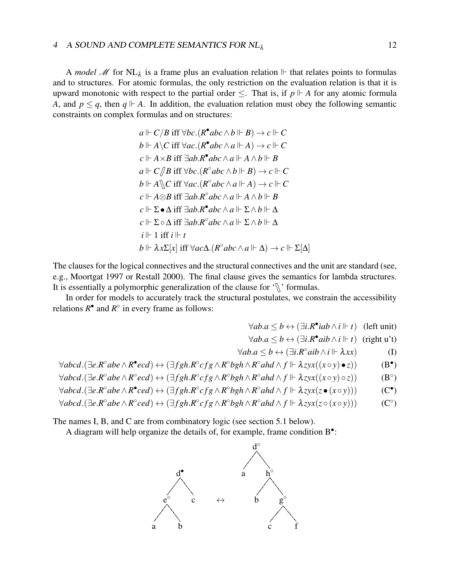#### 4 A SOUND AND COMPLETE SEMANTICS FOR NL<sub>λ</sub> 12

A *model M* for NL<sub> $\lambda$ </sub> is a frame plus an evaluation relation  $\mathbb{F}$  that relates points to formulas and to structures. For atomic formulas, the only restriction on the evaluation relation is that it is upward monotonic with respect to the partial order  $\le$ . That is, if  $p \Vdash A$  for any atomic formula *A*, and  $p \leq q$ , then  $q \Vdash A$ . In addition, the evaluation relation must obey the following semantic constraints on complex formulas and on structures:

$$
a \Vdash C/B \text{ iff } \forall bc. (R^{\bullet}abc \wedge b \Vdash B) \rightarrow c \Vdash C
$$
  
\n
$$
b \Vdash A \setminus C \text{ iff } \forall ac. (R^{\bullet}abc \wedge a \Vdash A) \rightarrow c \Vdash C
$$
  
\n
$$
c \Vdash A \times B \text{ iff } \exists ab. R^{\bullet}abc \wedge a \Vdash A \wedge b \Vdash B
$$
  
\n
$$
a \Vdash C/B \text{ iff } \forall bc. (R^{\circ}abc \wedge b \Vdash B) \rightarrow c \Vdash C
$$
  
\n
$$
b \Vdash A \setminus C \text{ iff } \forall ac. (R^{\circ}abc \wedge a \Vdash A) \rightarrow c \Vdash C
$$
  
\n
$$
c \Vdash A \otimes B \text{ iff } \exists ab. R^{\circ}abc \wedge a \Vdash A \wedge b \Vdash B
$$
  
\n
$$
c \Vdash \Sigma \bullet \Delta \text{ iff } \exists ab. R^{\circ}abc \wedge a \Vdash \Sigma \wedge b \Vdash \Delta
$$
  
\n
$$
c \Vdash \Sigma \circ \Delta \text{ iff } \exists ab. R^{\circ}abc \wedge a \Vdash \Sigma \wedge b \Vdash \Delta
$$
  
\n
$$
i \Vdash 1 \text{ iff } i \Vdash t
$$
  
\n
$$
b \Vdash \lambda x \Sigma[x] \text{ iff } \forall ac\Delta. (R^{\circ}abc \wedge a \Vdash \Delta) \rightarrow c \Vdash \Sigma[\Delta]
$$

The clauses for the logical connectives and the structural connectives and the unit are standard (see, e.g., Moortgat 1997 or Restall 2000). The final clause gives the semantics for lambda structures. It is essentially a polymorphic generalization of the clause for  $\sqrt{\ }$  formulas.

In order for models to accurately track the structural postulates, we constrain the accessibility relations  $R^{\bullet}$  and  $R^{\circ}$  in every frame as follows:

$$
\forall ab. a \leq b \leftrightarrow (\exists i. R^{\bullet} iab \wedge i \Vdash t) \quad \text{(left unit)}
$$

$$
\forall ab. a \leq b \leftrightarrow (\exists i. R^{\bullet} aib \land i \Vdash t) \text{ (right u't)}
$$

$$
\forall ab. a \leq b \leftrightarrow (\exists i. R^{\circ} aib \wedge i \Vdash \lambda xx) \tag{I}
$$

$$
\forall abcd.(\exists e.R^{\circ}abe \wedge R^{\bullet}ecd) \leftrightarrow (\exists fgh.R^{\circ}cfg \wedge R^{\circ}bgh \wedge R^{\circ}ahd \wedge f \Vdash \lambda zyx((x \circ y) \bullet z))
$$
 (B<sup>•</sup>)

$$
\forall abcd.(\exists e.R^{\circ}abe \wedge R^{\circ}ecd) \leftrightarrow (\exists fgh.R^{\circ}cfg \wedge R^{\circ}bgh \wedge R^{\circ}ahd \wedge f \Vdash \lambda zyx((x \circ y) \circ z))
$$
 (B<sup>°</sup>)

$$
\forall abcd.(\exists e.R^{\circ}abe \wedge R^{\bullet}ced) \leftrightarrow (\exists fgh.R^{\circ}cfg \wedge R^{\circ}bgh \wedge R^{\circ}ahd \wedge f \Vdash \lambda zyx(z \bullet (x \circ y)))
$$
 (C<sup>•</sup>)

$$
\forall abcd.(\exists e. R^{\circ}abe \wedge R^{\circ}ced) \leftrightarrow (\exists fgh. R^{\circ}cfg \wedge R^{\circ}bgh \wedge R^{\circ}ahd \wedge f \Vdash \lambda zyx(z \circ (x \circ y)))
$$
 (C<sup>°</sup>)

The names I, B, and C are from combinatory logic (see section 5.1 below).

A diagram will help organize the details of, for example, frame condition B<sup>o</sup>:

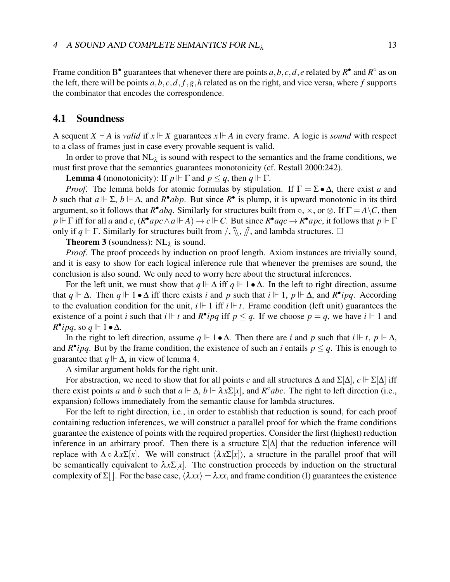Frame condition B<sup>•</sup> guarantees that whenever there are points  $a, b, c, d, e$  related by  $R^{\bullet}$  and  $R^{\circ}$  as on the left, there will be points *a*,*b*, *c*,*d*, *f*,*g*,*h* related as on the right, and vice versa, where *f* supports the combinator that encodes the correspondence.

### 4.1 Soundness

A sequent  $X \vdash A$  is *valid* if  $x \Vdash X$  guarantees  $x \Vdash A$  in every frame. A logic is *sound* with respect to a class of frames just in case every provable sequent is valid.

In order to prove that  $NL_{\lambda}$  is sound with respect to the semantics and the frame conditions, we must first prove that the semantics guarantees monotonicity (cf. Restall 2000:242).

**Lemma 4** (monotonicity): If  $p \Vdash \Gamma$  and  $p \leq q$ , then  $q \Vdash \Gamma$ .

*Proof.* The lemma holds for atomic formulas by stipulation. If  $\Gamma = \Sigma \bullet \Delta$ , there exist *a* and *b* such that  $a \Vdash \Sigma$ ,  $b \Vdash \Delta$ , and  $R^{\bullet}abp$ . But since  $R^{\bullet}$  is plump, it is upward monotonic in its third argument, so it follows that  $R^{\bullet}$ *abq*. Similarly for structures built from  $\circ$ ,  $\times$ , or  $\otimes$ . If  $\Gamma = A \backslash C$ , then  $p \Vdash \Gamma$  iff for all *a* and *c*,  $(R^{\bullet}apc \wedge a \Vdash A) \to c \Vdash C$ . But since  $R^{\bullet}aqc \to R^{\bullet}apc$ , it follows that  $p \Vdash \Gamma$ only if  $q \Vdash \Gamma$ . Similarly for structures built from  $\Lambda$ ,  $\Lambda$ ,  $\Lambda$ , and lambda structures.  $\Box$ 

**Theorem 3** (soundness):  $\text{NL}_\lambda$  is sound.

*Proof*. The proof proceeds by induction on proof length. Axiom instances are trivially sound, and it is easy to show for each logical inference rule that whenever the premises are sound, the conclusion is also sound. We only need to worry here about the structural inferences.

For the left unit, we must show that  $q \Vdash \Delta$  iff  $q \Vdash 1 \bullet \Delta$ . In the left to right direction, assume that  $q \Vdash \Delta$ . Then  $q \Vdash 1 \bullet \Delta$  iff there exists *i* and *p* such that  $i \Vdash 1$ ,  $p \Vdash \Delta$ , and  $R^{\bullet}ipq$ . According to the evaluation condition for the unit,  $i \Vdash 1$  iff  $i \Vdash t$ . Frame condition (left unit) guarantees the existence of a point *i* such that  $i \Vdash t$  and  $R^{\bullet}ipq$  iff  $p \leq q$ . If we choose  $p = q$ , we have  $i \Vdash 1$  and  $R^{\bullet}$ *ipq*, so  $q \Vdash \overline{1} \bullet \Delta$ .

In the right to left direction, assume  $q \Vdash 1 \bullet \Delta$ . Then there are *i* and *p* such that  $i \Vdash t$ ,  $p \Vdash \Delta$ , and  $R^{\bullet}$ *ipq*. But by the frame condition, the existence of such an *i* entails  $p \leq q$ . This is enough to guarantee that  $q \Vdash \Delta$ , in view of lemma 4.

A similar argument holds for the right unit.

For abstraction, we need to show that for all points *c* and all structures  $\Delta$  and  $\Sigma[\Delta]$ ,  $c \Vdash \Sigma[\Delta]$  iff there exist points *a* and *b* such that  $a \Vdash \Delta$ ,  $b \Vdash \lambda x \Sigma[x]$ , and  $R^{\circ}abc$ . The right to left direction (i.e., expansion) follows immediately from the semantic clause for lambda structures.

For the left to right direction, i.e., in order to establish that reduction is sound, for each proof containing reduction inferences, we will construct a parallel proof for which the frame conditions guarantee the existence of points with the required properties. Consider the first (highest) reduction inference in an arbitrary proof. Then there is a structure  $\Sigma[\Delta]$  that the reduction inference will replace with  $\Delta \circ \lambda x \Sigma[x]$ . We will construct  $\langle \lambda x \Sigma[x] \rangle$ , a structure in the parallel proof that will be semantically equivalent to  $\lambda x \Sigma[x]$ . The construction proceeds by induction on the structural complexity of  $\Sigma$ []. For the base case,  $\langle \lambda xx \rangle = \lambda xx$ , and frame condition (I) guarantees the existence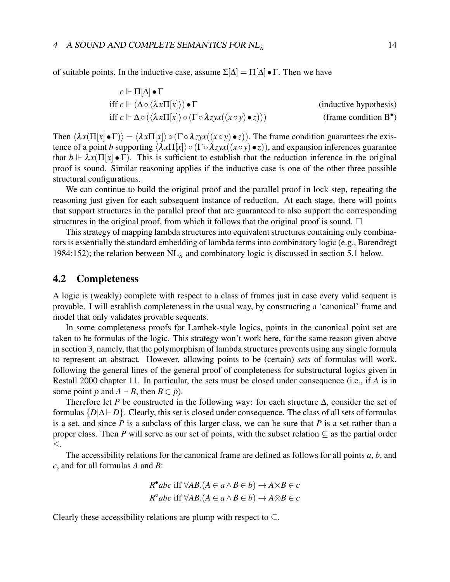of suitable points. In the inductive case, assume  $\Sigma[\Delta] = \Pi[\Delta] \bullet \Gamma$ . Then we have

$$
c \Vdash \Pi[\Delta] \bullet \Gamma
$$
  
iff 
$$
c \Vdash (\Delta \circ \langle \lambda x \Pi[x] \rangle) \bullet \Gamma
$$
  
iff 
$$
c \Vdash \Delta \circ (\langle \lambda x \Pi[x] \rangle) \circ (\Gamma \circ \lambda z y x ((x \circ y) \bullet z)))
$$
  
(frame condition B<sup>•</sup>)

Then  $\langle \lambda x(\Pi[x] \bullet \Gamma) \rangle = \langle \lambda x \Pi[x] \rangle \circ (\Gamma \circ \lambda z) x((x \circ y) \bullet z)$ . The frame condition guarantees the existence of a point *b* supporting  $\langle \lambda x \Pi[x] \rangle \circ (\Gamma \circ \lambda z) x((x \circ y) \bullet z)$ , and expansion inferences guarantee that  $b \Vdash \lambda x(\Pi[x] \bullet \Gamma)$ . This is sufficient to establish that the reduction inference in the original proof is sound. Similar reasoning applies if the inductive case is one of the other three possible structural configurations.

We can continue to build the original proof and the parallel proof in lock step, repeating the reasoning just given for each subsequent instance of reduction. At each stage, there will points that support structures in the parallel proof that are guaranteed to also support the corresponding structures in the original proof, from which it follows that the original proof is sound.  $\Box$ 

This strategy of mapping lambda structures into equivalent structures containing only combinators is essentially the standard embedding of lambda terms into combinatory logic (e.g., Barendregt 1984:152); the relation between  $NL<sub>\lambda</sub>$  and combinatory logic is discussed in section 5.1 below.

## 4.2 Completeness

A logic is (weakly) complete with respect to a class of frames just in case every valid sequent is provable. I will establish completeness in the usual way, by constructing a 'canonical' frame and model that only validates provable sequents.

In some completeness proofs for Lambek-style logics, points in the canonical point set are taken to be formulas of the logic. This strategy won't work here, for the same reason given above in section 3, namely, that the polymorphism of lambda structures prevents using any single formula to represent an abstract. However, allowing points to be (certain) *sets* of formulas will work, following the general lines of the general proof of completeness for substructural logics given in Restall 2000 chapter 11. In particular, the sets must be closed under consequence (i.e., if *A* is in some point *p* and  $A \vdash B$ , then  $B \in p$ ).

Therefore let *P* be constructed in the following way: for each structure ∆, consider the set of formulas  ${D|\Delta\models D}$ . Clearly, this set is closed under consequence. The class of all sets of formulas is a set, and since *P* is a subclass of this larger class, we can be sure that *P* is a set rather than a proper class. Then *P* will serve as our set of points, with the subset relation  $\subset$  as the partial order ≤.

The accessibility relations for the canonical frame are defined as follows for all points *a*, *b*, and *c*, and for all formulas *A* and *B*:

> $R^{\bullet}$  *abc* iff  $\forall AB \cdot (A \in a \land B \in b) \rightarrow A \times B \in c$ *R*° *abc* iff  $\forall AB$ .(*A* ∈ *a* ∧ *B* ∈ *b*) → *A*⊗*B* ∈ *c*

Clearly these accessibility relations are plump with respect to  $\subseteq$ .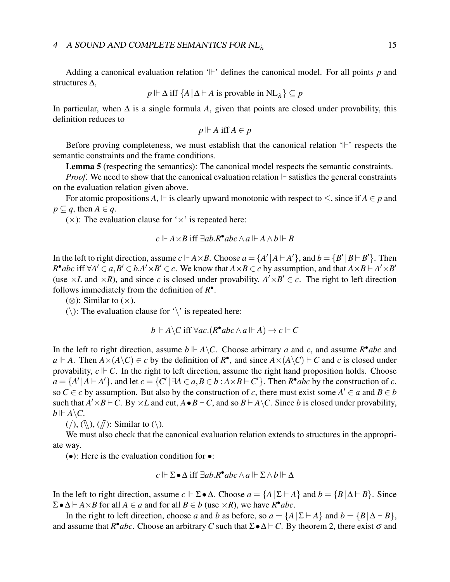Adding a canonical evaluation relation  $\Vert \cdot \Vert$  defines the canonical model. For all points p and structures ∆,

$$
p \Vdash \Delta \text{ iff } \{A \,|\, \Delta \vdash A \text{ is provable in } NL_{\lambda} \} \subseteq p
$$

In particular, when ∆ is a single formula *A*, given that points are closed under provability, this definition reduces to

$$
p \Vdash A \text{ iff } A \in p
$$

Before proving completeness, we must establish that the canonical relation  $\mathcal{L}$  respects the semantic constraints and the frame conditions.

Lemma 5 (respecting the semantics): The canonical model respects the semantic constraints.

*Proof.* We need to show that the canonical evaluation relation  $\mathbb{F}$  satisfies the general constraints on the evaluation relation given above.

For atomic propositions *A*,  $\Vdash$  is clearly upward monotonic with respect to  $\leq$ , since if  $A \in p$  and  $p \subseteq q$ , then  $A \in q$ .

 $(x)$ : The evaluation clause for ' $\times$ ' is repeated here:

$$
c \Vdash A \times B \text{ iff } \exists ab. R^{\bullet} abc \wedge a \Vdash A \wedge b \Vdash B
$$

In the left to right direction, assume  $c \Vdash A \times B$ . Choose  $a = \{A' | A \vdash A'\}$ , and  $b = \{B' | B \vdash B'\}$ . Then  $R^{\bullet}abc$  iff  $\forall A' \in a, B' \in b.A' \times B' \in c$ . We know that  $A \times B \in c$  by assumption, and that  $A \times B \vdash A' \times B'$ (use  $\times L$  and  $\times R$ ), and since *c* is closed under provability,  $A' \times B' \in c$ . The right to left direction follows immediately from the definition of *R* • .

(⊗): Similar to ( $\times$ ).

 $(\cdot)$ : The evaluation clause for  $\cdot \cdot$  is repeated here:

$$
b \Vdash A \backslash C \text{ iff } \forall ac. (R^{\bullet}abc \wedge a \Vdash A) \rightarrow c \Vdash C
$$

In the left to right direction, assume  $b \Vdash A \backslash C$ . Choose arbitrary *a* and *c*, and assume  $R^{\bullet}$ *abc* and  $a \Vdash A$ . Then  $A \times (A \setminus C) \in c$  by the definition of  $R^{\bullet}$ , and since  $A \times (A \setminus C) \vdash C$  and *c* is closed under provability,  $c \Vdash C$ . In the right to left direction, assume the right hand proposition holds. Choose  $a = \{A' | A \vdash A'\}$ , and let  $c = \{C' | \exists A \in a, B \in b : A \times B \vdash C'\}$ . Then  $R^{\bullet}abc$  by the construction of *c*, so  $C \in \mathcal{C}$  by assumption. But also by the construction of  $\mathcal{C}$ , there must exist some  $A' \in \mathcal{C}$  and  $B \in \mathcal{C}$ such that  $A' \times B \vdash C$ . By  $\times L$  and cut,  $A \bullet B \vdash C$ , and so  $B \vdash A \setminus C$ . Since *b* is closed under provability,  $b \Vdash A \backslash C$ .

 $(\langle \rangle, (\mathbb{N}), (\mathbb{N})$ : Similar to  $(\mathbb{N})$ .

We must also check that the canonical evaluation relation extends to structures in the appropriate way.

(•): Here is the evaluation condition for •:

$$
c \Vdash \Sigma \bullet \Delta \text{ iff } \exists ab. R^\bullet abc \wedge a \Vdash \Sigma \wedge b \Vdash \Delta
$$

In the left to right direction, assume  $c \Vdash \Sigma \bullet \Delta$ . Choose  $a = \{A \mid \Sigma \vdash A\}$  and  $b = \{B \mid \Delta \vdash B\}$ . Since  $\Sigma \bullet \Delta \vdash A \times B$  for all  $A \in a$  and for all  $B \in b$  (use  $\times R$ ), we have  $R^{\bullet}abc$ .

In the right to left direction, choose *a* and *b* as before, so  $a = \{A \mid \Sigma \vdash A\}$  and  $b = \{B \mid \Delta \vdash B\}$ , and assume that  $R^{\bullet}$ *abc*. Choose an arbitrary *C* such that  $\Sigma \bullet \Delta \vdash C$ . By theorem 2, there exist  $\sigma$  and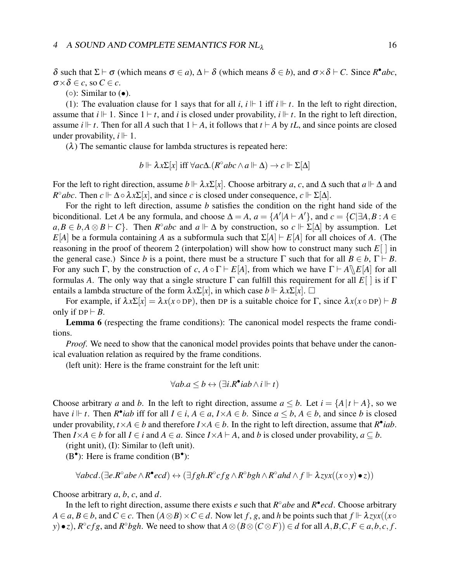$δ$  such that  $Σ ⊢ σ$  (which means  $σ ∈ a$ ),  $Δ ⊢ δ$  (which means  $δ ∈ b$ ), and  $σ × δ ⊢ C$ . Since  $R^{\bullet}abc$ ,  $\sigma \times \delta \in \mathcal{C}$ , so  $C \in \mathcal{C}$ .

 $( \circ )$ : Similar to  $( \bullet )$ .

(1): The evaluation clause for 1 says that for all *i*,  $i \Vdash 1$  iff  $i \Vdash t$ . In the left to right direction, assume that  $i \Vdash 1$ . Since  $1 \vdash t$ , and *i* is closed under provability,  $i \Vdash t$ . In the right to left direction, assume *i*  $\mid$  *t*. Then for all *A* such that  $1 \vdash A$ , it follows that  $t \vdash A$  by *tL*, and since points are closed under provability,  $i \Vdash 1$ .

 $(\lambda)$  The semantic clause for lambda structures is repeated here:

$$
b \Vdash \lambda x \Sigma[x] \text{ iff } \forall ac \Delta. (R^{\circ}abc \wedge a \Vdash \Delta) \rightarrow c \Vdash \Sigma[\Delta]
$$

For the left to right direction, assume  $b \Vdash \lambda x \Sigma[x]$ . Choose arbitrary *a*, *c*, and  $\Delta$  such that  $a \Vdash \Delta$  and  $R^{\circ}abc$ . Then  $c \Vdash \Delta \circ \lambda x \Sigma[x]$ , and since *c* is closed under consequence,  $c \Vdash \Sigma[\Delta]$ .

For the right to left direction, assume *b* satisfies the condition on the right hand side of the biconditional. Let *A* be any formula, and choose  $\Delta = A$ ,  $a = \{A' | A \vdash A'\}$ , and  $c = \{C | \exists A, B : A \in A'\}$  $a, B \in b, A \otimes B \vdash C$ . Then  $R^{\circ}abc$  and  $a \Vdash \Delta$  by construction, so  $c \Vdash \Sigma[\Delta]$  by assumption. Let *E*[*A*] be a formula containing *A* as a subformula such that  $\Sigma[A] \vdash E[A]$  for all choices of *A*. (The reasoning in the proof of theorem 2 (interpolation) will show how to construct many such *E*[ ] in the general case.) Since *b* is a point, there must be a structure  $\Gamma$  such that for all  $B \in b$ ,  $\Gamma \vdash B$ . For any such Γ, by the construction of *c*,  $A \circ \Gamma \vdash E[A]$ , from which we have  $\Gamma \vdash A \setminus E[A]$  for all formulas *A*. The only way that a single structure  $\Gamma$  can fulfill this requirement for all  $E[\ ]$  is if  $\Gamma$ entails a lambda structure of the form  $\lambda x \Sigma[x]$ , in which case  $b \Vdash \lambda x \Sigma[x]$ .  $\Box$ 

For example, if  $\lambda x \Sigma[x] = \lambda x(x \circ DP)$ , then DP is a suitable choice for  $\Gamma$ , since  $\lambda x(x \circ DP) \vdash B$ only if  $DP \vdash B$ .

Lemma 6 (respecting the frame conditions): The canonical model respects the frame conditions.

*Proof.* We need to show that the canonical model provides points that behave under the canonical evaluation relation as required by the frame conditions.

(left unit): Here is the frame constraint for the left unit:

$$
\forall ab. a \leq b \leftrightarrow (\exists i. R^{\bullet} iab \wedge i \Vdash t)
$$

Choose arbitrary *a* and *b*. In the left to right direction, assume  $a \leq b$ . Let  $i = \{A | t \vdash A\}$ , so we have *i*  $\Vdash$  *t*. Then *R*<sup>•</sup>*iab* iff for all *I* ∈ *i*, *A* ∈ *a*, *I*×*A* ∈ *b*. Since *a* ≤ *b*, *A* ∈ *b*, and since *b* is closed under provability,  $t \times A \in b$  and therefore  $I \times A \in b$ . In the right to left direction, assume that  $R^{\bullet}$ *iab*. Then  $I \times A \in b$  for all  $I \in i$  and  $A \in a$ . Since  $I \times A \vdash A$ , and *b* is closed under provability,  $a \subseteq b$ .

(right unit), (I): Similar to (left unit).

 $(B<sup>•</sup>)$ : Here is frame condition  $(B<sup>•</sup>)$ :

$$
\forall abcd.(\exists e. R^{\circ}abe \wedge R^{\bullet}ecd) \leftrightarrow (\exists fgh. R^{\circ}cfg \wedge R^{\circ}bgh \wedge R^{\circ}ahd \wedge f \Vdash \lambda zyx((x \circ y) \bullet z))
$$

Choose arbitrary *a*, *b*, *c*, and *d*.

In the left to right direction, assume there exists *e* such that  $R^{\circ}$  abe and  $R^{\bullet}$  *ecd*. Choose arbitrary  $A \in a, B \in b$ , and  $C \in c$ . Then  $(A \otimes B) \times C \in d$ . Now let *f*, *g*, and *h* be points such that  $f \Vdash \lambda zyx((x \circ b) \wedge z \circ c)$ y) • z),  $R^{\circ}cfg$ , and  $R^{\circ}bgh$ . We need to show that  $A \otimes (B \otimes (C \otimes F)) \in d$  for all  $A, B, C, F \in a, b, c, f$ .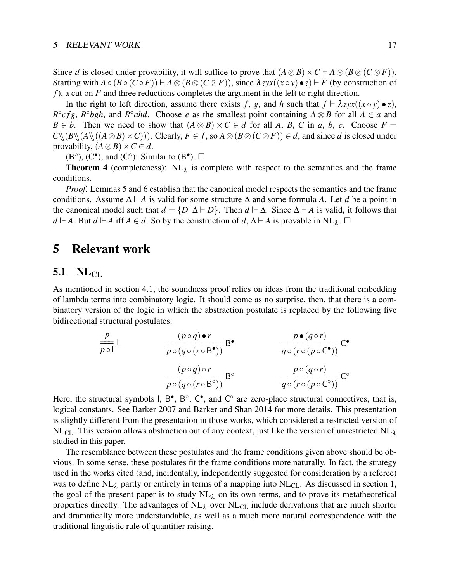Since *d* is closed under provability, it will suffice to prove that  $(A \otimes B) \times C \vdash A \otimes (B \otimes (C \otimes F))$ . Starting with  $A \circ (B \circ (C \circ F)) \vdash A \otimes (B \otimes (C \otimes F))$ , since  $\lambda zyx((x \circ y) \bullet z) \vdash F$  (by construction of *f*), a cut on *F* and three reductions completes the argument in the left to right direction.

In the right to left direction, assume there exists f, g, and h such that  $f \vdash \lambda zyx((x \circ y) \bullet z)$ ,  $R^{\circ}$ *cfg*,  $R^{\circ}$ *bgh*, and  $R^{\circ}$ *ahd*. Choose *e* as the smallest point containing  $A \otimes B$  for all  $A \in a$  and *B* ∈ *b*. Then we need to show that  $(A \otimes B) \times C \in d$  for all *A*, *B*, *C* in *a*, *b*, *c*. Choose *F* =  $C\{(B\}(A\{(A\otimes B)\times C)\})$ . Clearly,  $F\in f$ , so  $A\otimes (B\otimes (C\otimes F))\in d$ , and since *d* is closed under provability,  $(A \otimes B) \times C \in d$ .

 $(B^{\circ}), (C^{\bullet}),$  and  $(C^{\circ})$ : Similar to  $(B^{\bullet}).$   $\square$ 

**Theorem 4** (completeness):  $NL<sub>\lambda</sub>$  is complete with respect to the semantics and the frame conditions.

*Proof*. Lemmas 5 and 6 establish that the canonical model respects the semantics and the frame conditions. Assume  $\Delta \vdash A$  is valid for some structure  $\Delta$  and some formula *A*. Let *d* be a point in the canonical model such that  $d = \{D | \Delta \vdash D\}$ . Then  $d \Vdash \Delta$ . Since  $\Delta \vdash A$  is valid, it follows that *d*  $\vdash$  *A*. But *d*  $\vdash$  *A* iff *A* ∈ *d*. So by the construction of *d*, ∆  $\vdash$  *A* is provable in NL<sub>λ</sub>. □

## 5 Relevant work

## $5.1$  NL<sub>CL</sub>

As mentioned in section 4.1, the soundness proof relies on ideas from the traditional embedding of lambda terms into combinatory logic. It should come as no surprise, then, that there is a combinatory version of the logic in which the abstraction postulate is replaced by the following five bidirectional structural postulates:

$$
\frac{p}{p \circ 1} \qquad \frac{(p \circ q) \bullet r}{p \circ (q \circ (r \circ B^{\bullet}))} \qquad B^{\bullet}
$$
\n
$$
\frac{(p \circ q) \circ r}{p \circ (q \circ (r \circ B^{\circ}))} \qquad B^{\circ}
$$
\n
$$
\frac{(p \circ q) \circ r}{p \circ (q \circ (r \circ B^{\circ}))} \qquad B^{\circ}
$$
\n
$$
\frac{p \circ (q \circ r)}{q \circ (r \circ (p \circ C^{\circ}))} \qquad C^{\circ}
$$

Here, the structural symbols  $I, B^{\bullet}, B^{\circ}, C^{\bullet}$ , and  $C^{\circ}$  are zero-place structural connectives, that is, logical constants. See Barker 2007 and Barker and Shan 2014 for more details. This presentation is slightly different from the presentation in those works, which considered a restricted version of  $NL<sub>CL</sub>$ . This version allows abstraction out of any context, just like the version of unrestricted NL<sub>λ</sub> studied in this paper.

The resemblance between these postulates and the frame conditions given above should be obvious. In some sense, these postulates fit the frame conditions more naturally. In fact, the strategy used in the works cited (and, incidentally, independently suggested for consideration by a referee) was to define  $NL_{\lambda}$  partly or entirely in terms of a mapping into  $NL_{CL}$ . As discussed in section 1, the goal of the present paper is to study  $NL<sub>\lambda</sub>$  on its own terms, and to prove its metatheoretical properties directly. The advantages of  $NL<sub>\lambda</sub>$  over  $NL<sub>CL</sub>$  include derivations that are much shorter and dramatically more understandable, as well as a much more natural correspondence with the traditional linguistic rule of quantifier raising.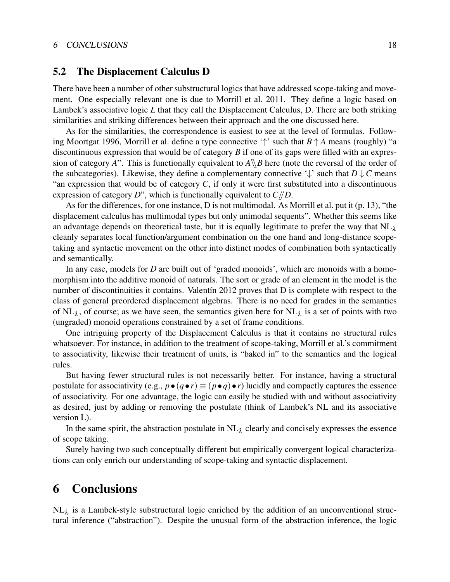#### 6 CONCLUSIONS 18

### 5.2 The Displacement Calculus D

There have been a number of other substructural logics that have addressed scope-taking and movement. One especially relevant one is due to Morrill et al. 2011. They define a logic based on Lambek's associative logic *L* that they call the Displacement Calculus, D. There are both striking similarities and striking differences between their approach and the one discussed here.

As for the similarities, the correspondence is easiest to see at the level of formulas. Following Moortgat 1996, Morrill et al. define a type connective '↑' such that *B* ↑ *A* means (roughly) "a discontinuous expression that would be of category *B* if one of its gaps were filled with an expression of category *A*". This is functionally equivalent to  $A \setminus B$  here (note the reversal of the order of the subcategories). Likewise, they define a complementary connective  $\downarrow$  such that  $D \downarrow C$  means "an expression that would be of category *C*, if only it were first substituted into a discontinuous expression of category *D*", which is functionally equivalent to  $C/D$ .

As for the differences, for one instance, D is not multimodal. As Morrill et al. put it (p. 13), "the displacement calculus has multimodal types but only unimodal sequents". Whether this seems like an advantage depends on theoretical taste, but it is equally legitimate to prefer the way that  $NL<sub>λ</sub>$ cleanly separates local function/argument combination on the one hand and long-distance scopetaking and syntactic movement on the other into distinct modes of combination both syntactically and semantically.

In any case, models for *D* are built out of 'graded monoids', which are monoids with a homomorphism into the additive monoid of naturals. The sort or grade of an element in the model is the number of discontinuities it contains. Valentín 2012 proves that D is complete with respect to the class of general preordered displacement algebras. There is no need for grades in the semantics of NL<sub> $\lambda$ </sub>, of course; as we have seen, the semantics given here for NL<sub> $\lambda$ </sub> is a set of points with two (ungraded) monoid operations constrained by a set of frame conditions.

One intriguing property of the Displacement Calculus is that it contains no structural rules whatsoever. For instance, in addition to the treatment of scope-taking, Morrill et al.'s commitment to associativity, likewise their treatment of units, is "baked in" to the semantics and the logical rules.

But having fewer structural rules is not necessarily better. For instance, having a structural postulate for associativity (e.g.,  $p \bullet (q \bullet r) \equiv (p \bullet q) \bullet r$ ) lucidly and compactly captures the essence of associativity. For one advantage, the logic can easily be studied with and without associativity as desired, just by adding or removing the postulate (think of Lambek's NL and its associative version L).

In the same spirit, the abstraction postulate in  $NL<sub>\lambda</sub>$  clearly and concisely expresses the essence of scope taking.

Surely having two such conceptually different but empirically convergent logical characterizations can only enrich our understanding of scope-taking and syntactic displacement.

## 6 Conclusions

 $NL_{\lambda}$  is a Lambek-style substructural logic enriched by the addition of an unconventional structural inference ("abstraction"). Despite the unusual form of the abstraction inference, the logic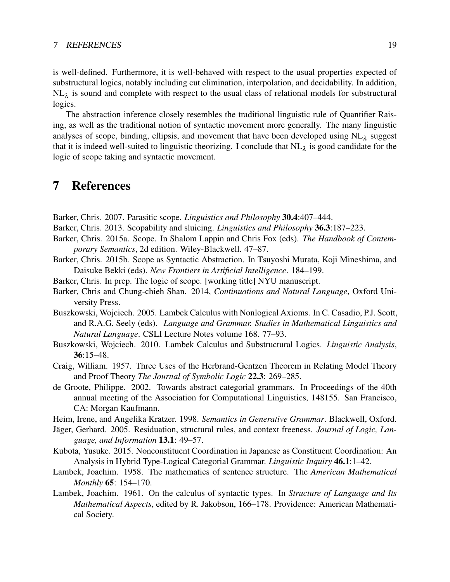#### 7 REFERENCES 19

is well-defined. Furthermore, it is well-behaved with respect to the usual properties expected of substructural logics, notably including cut elimination, interpolation, and decidability. In addition,  $NL_{\lambda}$  is sound and complete with respect to the usual class of relational models for substructural logics.

The abstraction inference closely resembles the traditional linguistic rule of Quantifier Raising, as well as the traditional notion of syntactic movement more generally. The many linguistic analyses of scope, binding, ellipsis, and movement that have been developed using  $NL_{\lambda}$  suggest that it is indeed well-suited to linguistic theorizing. I conclude that  $NL_{\lambda}$  is good candidate for the logic of scope taking and syntactic movement.

## 7 References

Barker, Chris. 2007. Parasitic scope. *Linguistics and Philosophy* 30.4:407–444.

Barker, Chris. 2013. Scopability and sluicing. *Linguistics and Philosophy* 36.3:187–223.

- Barker, Chris. 2015a. Scope. In Shalom Lappin and Chris Fox (eds). *The Handbook of Contemporary Semantics*, 2d edition. Wiley-Blackwell. 47–87.
- Barker, Chris. 2015b. Scope as Syntactic Abstraction. In Tsuyoshi Murata, Koji Mineshima, and Daisuke Bekki (eds). *New Frontiers in Artificial Intelligence*. 184–199.
- Barker, Chris. In prep. The logic of scope. [working title] NYU manuscript.
- Barker, Chris and Chung-chieh Shan. 2014, *Continuations and Natural Language*, Oxford University Press.
- Buszkowski, Wojciech. 2005. Lambek Calculus with Nonlogical Axioms. In C. Casadio, P.J. Scott, and R.A.G. Seely (eds). *Language and Grammar. Studies in Mathematical Linguistics and Natural Language*. CSLI Lecture Notes volume 168. 77–93.
- Buszkowski, Wojciech. 2010. Lambek Calculus and Substructural Logics. *Linguistic Analysis*, 36:15–48.
- Craig, William. 1957. Three Uses of the Herbrand-Gentzen Theorem in Relating Model Theory and Proof Theory *The Journal of Symbolic Logic* 22.3: 269–285.
- de Groote, Philippe. 2002. Towards abstract categorial grammars. In Proceedings of the 40th annual meeting of the Association for Computational Linguistics, 148155. San Francisco, CA: Morgan Kaufmann.
- Heim, Irene, and Angelika Kratzer. 1998. *Semantics in Generative Grammar*. Blackwell, Oxford.
- Jäger, Gerhard. 2005. Residuation, structural rules, and context freeness. *Journal of Logic, Language, and Information* 13.1: 49–57.
- Kubota, Yusuke. 2015. Nonconstituent Coordination in Japanese as Constituent Coordination: An Analysis in Hybrid Type-Logical Categorial Grammar. *Linguistic Inquiry* 46.1:1–42.
- Lambek, Joachim. 1958. The mathematics of sentence structure. The *American Mathematical Monthly* 65: 154–170.
- Lambek, Joachim. 1961. On the calculus of syntactic types. In *Structure of Language and Its Mathematical Aspects*, edited by R. Jakobson, 166–178. Providence: American Mathematical Society.